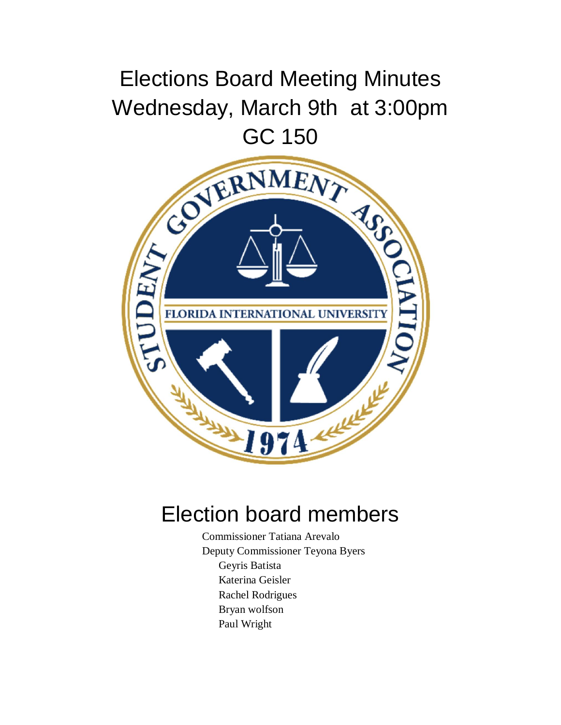## Elections Board Meeting Minutes Wednesday, March 9th at 3:00pm



## Election board members

Commissioner Tatiana Arevalo Deputy Commissioner Teyona Byers Geyris Batista Katerina Geisler Rachel Rodrigues Bryan wolfson Paul Wright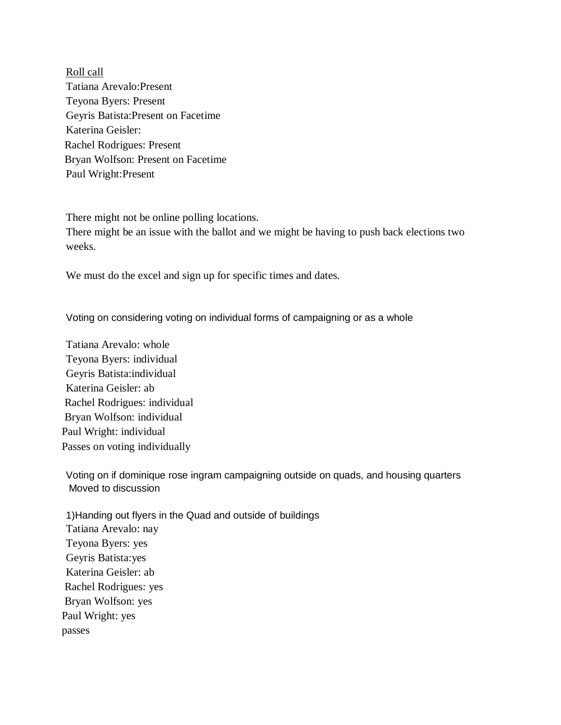Roll call Tatiana Arevalo:Present Teyona Byers: Present Geyris Batista:Present on Facetime Katerina Geisler: Rachel Rodrigues: Present Bryan Wolfson: Present on Facetime Paul Wright:Present

There might not be online polling locations.

There might be an issue with the ballot and we might be having to push back elections two weeks.

We must do the excel and sign up for specific times and dates.

Voting on considering voting on individual forms of campaigning or as a whole

Tatiana Arevalo: whole Teyona Byers: individual Geyris Batista:individual Katerina Geisler: ab Rachel Rodrigues: individual Bryan Wolfson: individual Paul Wright: individual Passes on voting individually

Voting on if dominique rose ingram campaigning outside on quads, and housing quarters Moved to discussion

1)Handing out flyers in the Quad and outside of buildings Tatiana Arevalo: nay Teyona Byers: yes Geyris Batista:yes Katerina Geisler: ab Rachel Rodrigues: yes Bryan Wolfson: yes Paul Wright: yes passes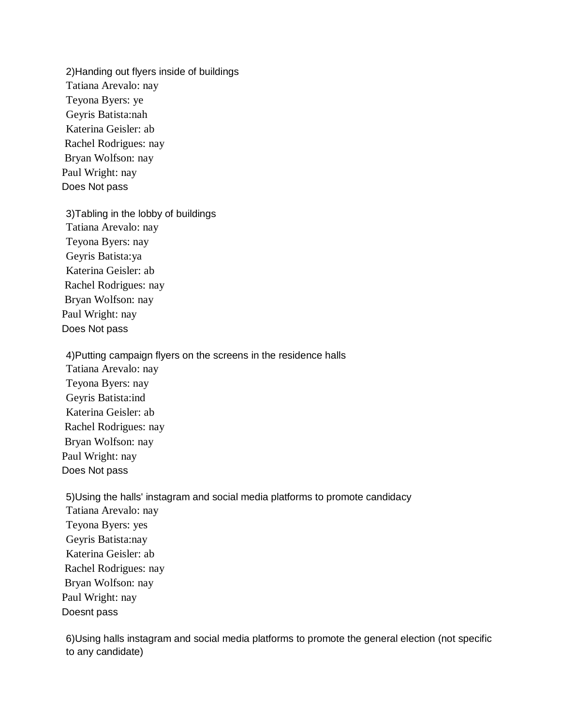2)Handing out flyers inside of buildings Tatiana Arevalo: nay Teyona Byers: ye Geyris Batista:nah Katerina Geisler: ab Rachel Rodrigues: nay Bryan Wolfson: nay Paul Wright: nay Does Not pass

3)Tabling in the lobby of buildings Tatiana Arevalo: nay Teyona Byers: nay Geyris Batista:ya Katerina Geisler: ab Rachel Rodrigues: nay Bryan Wolfson: nay Paul Wright: nay Does Not pass

4)Putting campaign flyers on the screens in the residence halls Tatiana Arevalo: nay Teyona Byers: nay Geyris Batista:ind Katerina Geisler: ab Rachel Rodrigues: nay Bryan Wolfson: nay Paul Wright: nay Does Not pass

5)Using the halls' instagram and social media platforms to promote candidacy Tatiana Arevalo: nay Teyona Byers: yes Geyris Batista:nay Katerina Geisler: ab Rachel Rodrigues: nay Bryan Wolfson: nay Paul Wright: nay Doesnt pass

6)Using halls instagram and social media platforms to promote the general election (not specific to any candidate)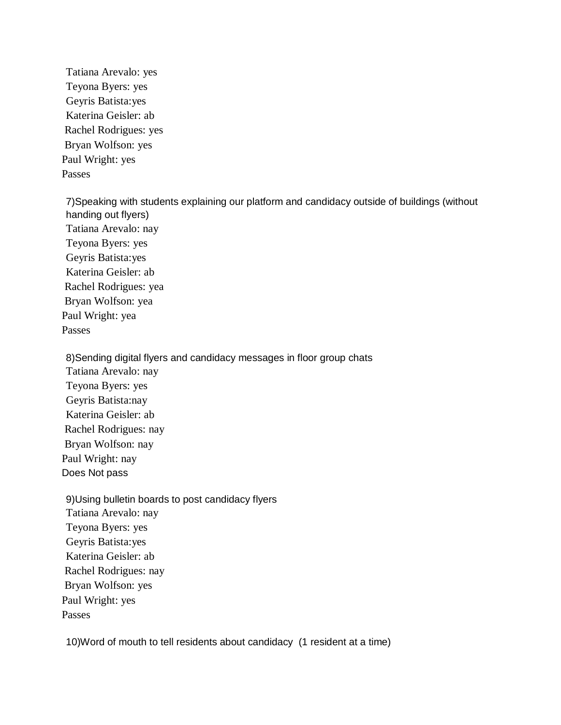Tatiana Arevalo: yes Teyona Byers: yes Geyris Batista:yes Katerina Geisler: ab Rachel Rodrigues: yes Bryan Wolfson: yes Paul Wright: yes Passes

7)Speaking with students explaining our platform and candidacy outside of buildings (without handing out flyers) Tatiana Arevalo: nay Teyona Byers: yes Geyris Batista:yes Katerina Geisler: ab Rachel Rodrigues: yea Bryan Wolfson: yea Paul Wright: yea Passes

8)Sending digital flyers and candidacy messages in floor group chats Tatiana Arevalo: nay Teyona Byers: yes Geyris Batista:nay Katerina Geisler: ab Rachel Rodrigues: nay Bryan Wolfson: nay Paul Wright: nay Does Not pass

9)Using bulletin boards to post candidacy flyers Tatiana Arevalo: nay Teyona Byers: yes Geyris Batista:yes Katerina Geisler: ab Rachel Rodrigues: nay Bryan Wolfson: yes Paul Wright: yes Passes

10)Word of mouth to tell residents about candidacy (1 resident at a time)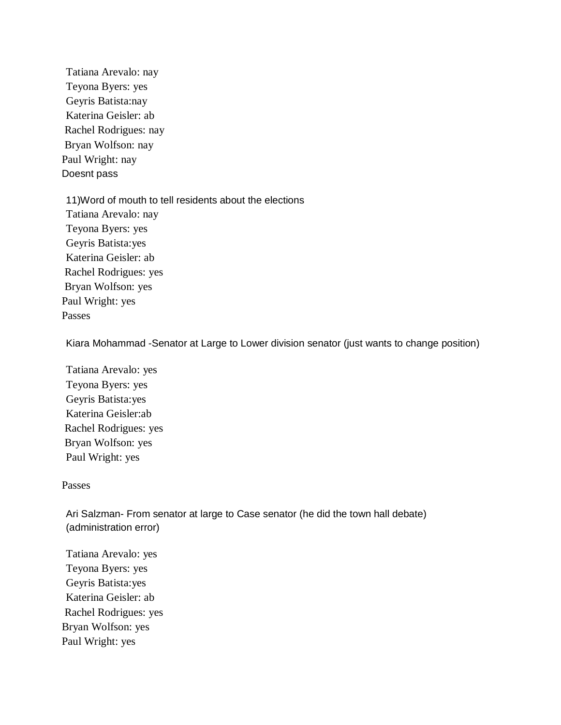Tatiana Arevalo: nay Teyona Byers: yes Geyris Batista:nay Katerina Geisler: ab Rachel Rodrigues: nay Bryan Wolfson: nay Paul Wright: nay Doesnt pass

11)Word of mouth to tell residents about the elections Tatiana Arevalo: nay Teyona Byers: yes Geyris Batista:yes Katerina Geisler: ab Rachel Rodrigues: yes Bryan Wolfson: yes Paul Wright: yes Passes

Kiara Mohammad -Senator at Large to Lower division senator (just wants to change position)

Tatiana Arevalo: yes Teyona Byers: yes Geyris Batista:yes Katerina Geisler:ab Rachel Rodrigues: yes Bryan Wolfson: yes Paul Wright: yes

## Passes

Ari Salzman- From senator at large to Case senator (he did the town hall debate) (administration error)

Tatiana Arevalo: yes Teyona Byers: yes Geyris Batista:yes Katerina Geisler: ab Rachel Rodrigues: yes Bryan Wolfson: yes Paul Wright: yes